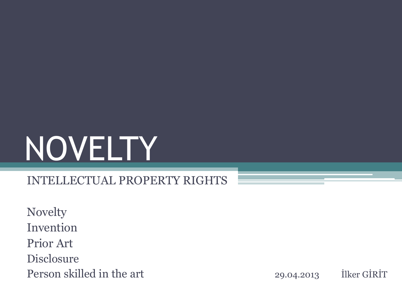# NOVELTY

#### INTELLECTUAL PROPERTY RIGHTS

Novelty Invention Prior Art Disclosure Person skilled in the art 29.04.2013 Ilker GİRİT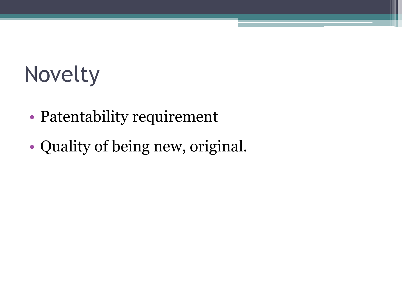#### Novelty

- Patentability requirement
- Quality of being new, original.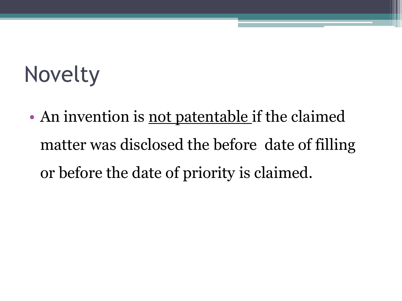#### Novelty

• An invention is not patentable if the claimed matter was disclosed the before date of filling or before the date of priority is claimed.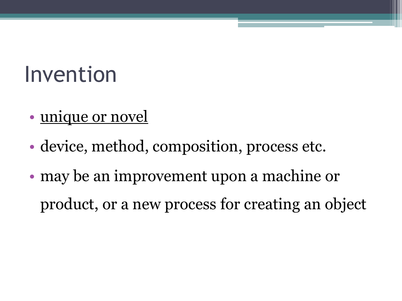#### Invention

- unique or novel
- device, method, composition, process etc.
- may be an improvement upon a machine or product, or a new process for creating an object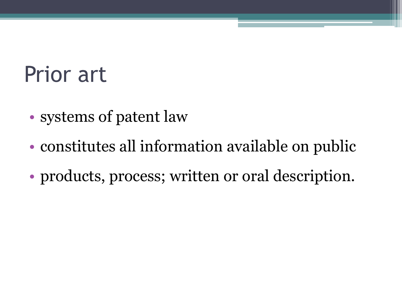#### Prior art

- systems of patent law
- constitutes all information available on public
- products, process; written or oral description.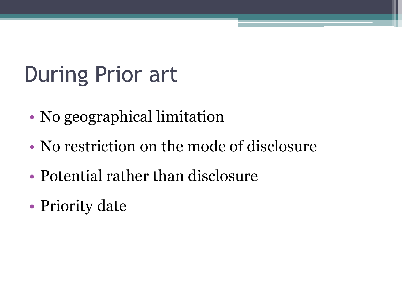## During Prior art

- No geographical limitation
- No restriction on the mode of disclosure
- Potential rather than disclosure
- Priority date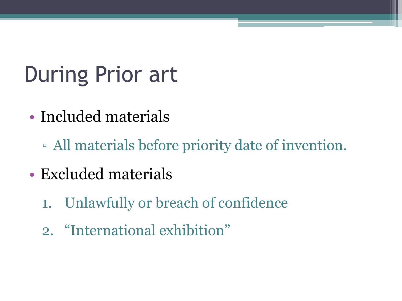## During Prior art

- Included materials
	- All materials before priority date of invention.
- Excluded materials
	- 1. Unlawfully or breach of confidence
	- 2. "International exhibition"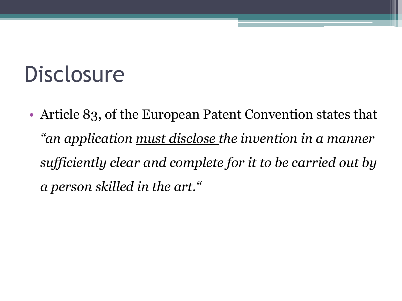#### **Disclosure**

• Article 83, of the European Patent Convention states that *"an application must disclose the invention in a manner sufficiently clear and complete for it to be carried out by a person skilled in the art."*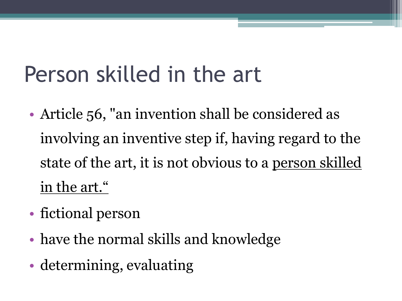#### Person skilled in the art

- Article 56, "an invention shall be considered as involving an inventive step if, having regard to the state of the art, it is not obvious to a <u>person skilled</u> in the art."
- fictional person
- have the normal skills and knowledge
- determining, evaluating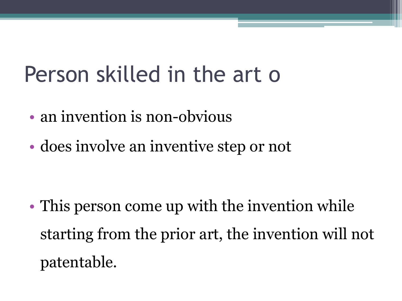#### Person skilled in the art o

- an invention is non-obvious
- does involve an inventive step or not

• This person come up with the invention while starting from the prior art, the invention will not patentable.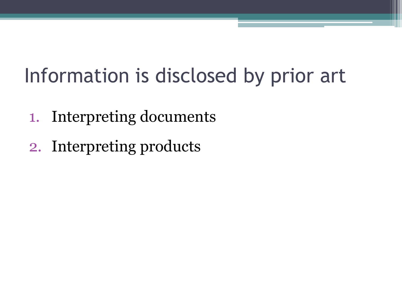#### Information is disclosed by prior art

- 1. Interpreting documents
- 2. Interpreting products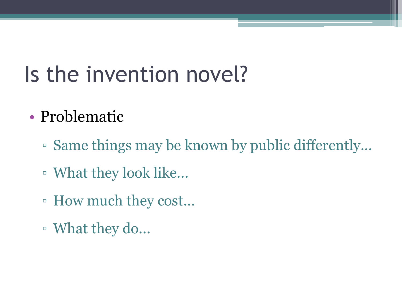#### Is the invention novel?

#### • Problematic

- Same things may be known by public differently...
- What they look like...
- How much they cost...
- What they do...